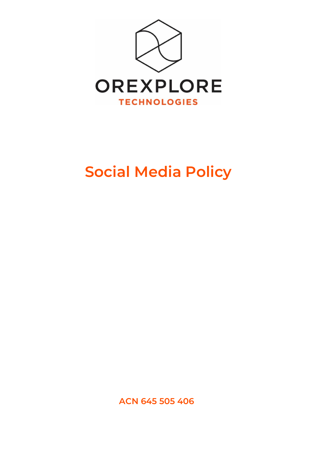

# **Social Media Policy**

**ACN 645 505 406**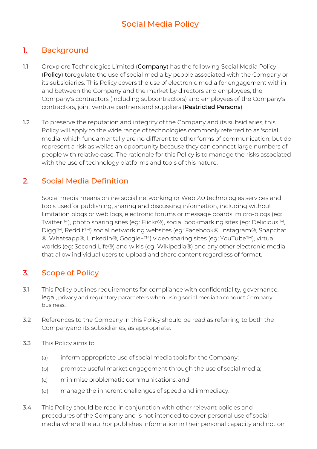# Social Media Policy

## 1. Background

- 1.1 Orexplore Technologies Limited (Company) has the following Social Media Policy (Policy) toregulate the use of social media by people associated with the Company or its subsidiaries. This Policy covers the use of electronic media for engagement within and between the Company and the market by directors and employees, the Company's contractors (including subcontractors) and employees of the Company's contractors, joint venture partners and suppliers (Restricted Persons).
- 1.2 To preserve the reputation and integrity of the Company and its subsidiaries, this Policy will apply to the wide range of technologies commonly referred to as 'social media' which fundamentally are no different to other forms of communication, but do represent a risk as wellas an opportunity because they can connect large numbers of people with relative ease. The rationale for this Policy is to manage the risks associated with the use of technology platforms and tools of this nature.

#### 2. Social Media Definition

Social media means online social networking or Web 2.0 technologies services and tools usedfor publishing, sharing and discussing information, including without limitation blogs or web logs, electronic forums or message boards, micro-blogs (eg: Twitter™), photo sharing sites (eg: Flickr®), social bookmarking sites (eg: Delicious™, Digg™, Reddit™) social networking websites (eg: Facebook®, Instagram®, Snapchat ®, Whatsapp®, LinkedIn®, Google+™) video sharing sites (eg: YouTube™), virtual worlds (eg: Second Life®) and wikis (eg: Wikipedia®) and any other electronic media that allow individual users to upload and share content regardless of format.

# 3. Scope of Policy

- 3.1 This Policy outlines requirements for compliance with confidentiality, governance, legal, privacy and regulatory parameters when using social media to conduct Company business.
- 3.2 References to the Company in this Policy should be read as referring to both the Companyand its subsidiaries, as appropriate.
- 3.3 This Policy aims to:
	- (a) inform appropriate use of social media tools for the Company;
	- (b) promote useful market engagement through the use of social media;
	- (c) minimise problematic communications; and
	- (d) manage the inherent challenges of speed and immediacy.
- 3.4 This Policy should be read in conjunction with other relevant policies and procedures of the Company and is not intended to cover personal use of social media where the author publishes information in their personal capacity and not on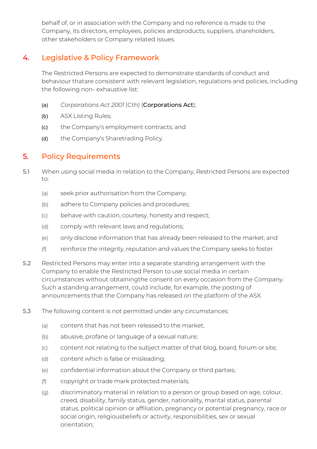behalf of, or in association with the Company and no reference is made to the Company, its directors, employees, policies andproducts, suppliers, shareholders, other stakeholders or Company related issues.

# 4. Legislative & Policy Framework

The Restricted Persons are expected to demonstrate standards of conduct and behaviour thatare consistent with relevant legislation, regulations and policies, including the following non- exhaustive list:

- (a) *Corporations Act 2001* (Cth) (Corporations Act);
- (b) ASX Listing Rules;
- (c) the Company's employment contracts; and
- (d) the Company's Sharetrading Policy.

# 5. Policy Requirements

- 5.1 When using social media in relation to the Company, Restricted Persons are expected to:
	- (a) seek prior authorisation from the Company;
	- (b) adhere to Company policies and procedures;
	- (c) behave with caution, courtesy, honesty and respect;
	- (d) comply with relevant laws and regulations;
	- (e) only disclose information that has already been released to the market; and
	- (f) reinforce the integrity, reputation and values the Company seeks to foster.
- 5.2 Restricted Persons may enter into a separate standing arrangement with the Company to enable the Restricted Person to use social media in certain circumstances without obtainingthe consent on every occasion from the Company. Such a standing arrangement, could include, for example, the posting of announcements that the Company has released on the platform of the ASX.
- 5.3 The following content is not permitted under any circumstances:
	- (a) content that has not been released to the market;
	- (b) abusive, profane or language of a sexual nature;
	- (c) content not relating to the subject matter of that blog, board, forum or site;
	- (d) content which is false or misleading;
	- (e) confidential information about the Company or third parties;
	- (f) copyright or trade mark protected materials;
	- (g) discriminatory material in relation to a person or group based on age, colour, creed, disability, family status, gender, nationality, marital status, parental status, political opinion or affiliation, pregnancy or potential pregnancy, race or social origin, religiousbeliefs or activity, responsibilities, sex or sexual orientation;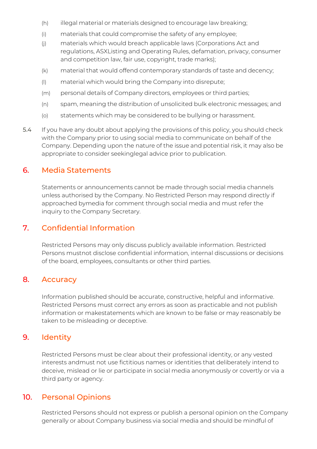- (h) illegal material or materials designed to encourage law breaking;
- (i) materials that could compromise the safety of any employee;
- (j) materials which would breach applicable laws (Corporations Act and regulations, ASXListing and Operating Rules, defamation, privacy, consumer and competition law, fair use, copyright, trade marks);
- (k) material that would offend contemporary standards of taste and decency;
- (l) material which would bring the Company into disrepute;
- (m) personal details of Company directors, employees or third parties;
- (n) spam, meaning the distribution of unsolicited bulk electronic messages; and
- (o) statements which may be considered to be bullying or harassment.
- 5.4 If you have any doubt about applying the provisions of this policy, you should check with the Company prior to using social media to communicate on behalf of the Company. Depending upon the nature of the issue and potential risk, it may also be appropriate to consider seekinglegal advice prior to publication.

### 6. Media Statements

Statements or announcements cannot be made through social media channels unless authorised by the Company. No Restricted Person may respond directly if approached bymedia for comment through social media and must refer the inquiry to the Company Secretary.

# 7. Confidential Information

Restricted Persons may only discuss publicly available information. Restricted Persons mustnot disclose confidential information, internal discussions or decisions of the board, employees, consultants or other third parties.

# 8. Accuracy

Information published should be accurate, constructive, helpful and informative. Restricted Persons must correct any errors as soon as practicable and not publish information or makestatements which are known to be false or may reasonably be taken to be misleading or deceptive.

# 9. Identity

Restricted Persons must be clear about their professional identity, or any vested interests andmust not use fictitious names or identities that deliberately intend to deceive, mislead or lie or participate in social media anonymously or covertly or via a third party or agency.

# 10. Personal Opinions

Restricted Persons should not express or publish a personal opinion on the Company generally or about Company business via social media and should be mindful of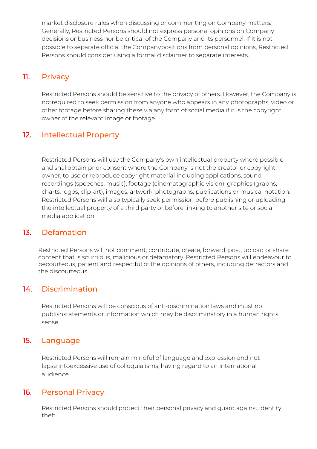market disclosure rules when discussing or commenting on Company matters. Generally, Restricted Persons should not express personal opinions on Company decisions or business nor be critical of the Company and its personnel. If it is not possible to separate official the Companypositions from personal opinions, Restricted Persons should consider using a formal disclaimer to separate interests.

# 11. Privacy

Restricted Persons should be sensitive to the privacy of others. However, the Company is notrequired to seek permission from anyone who appears in any photographs, video or other footage before sharing these via any form of social media if it is the copyright owner of the relevant image or footage.

# 12. Intellectual Property

Restricted Persons will use the Company's own intellectual property where possible and shallobtain prior consent where the Company is not the creator or copyright owner, to use or reproduce copyright material including applications, sound recordings (speeches, music), footage (cinematographic vision), graphics (graphs, charts, logos, clip-art), images, artwork, photographs, publications or musical notation. Restricted Persons will also typically seek permission before publishing or uploading the intellectual property of a third party or before linking to another site or social media application.

#### 13. Defamation

Restricted Persons will not comment, contribute, create, forward, post, upload or share content that is scurrilous, malicious or defamatory. Restricted Persons will endeavour to becourteous, patient and respectful of the opinions of others, including detractors and the discourteous.

#### 14. Discrimination

Restricted Persons will be conscious of anti-discrimination laws and must not publishstatements or information which may be discriminatory in a human rights sense.

#### 15. Language

Restricted Persons will remain mindful of language and expression and not lapse intoexcessive use of colloquialisms, having regard to an international audience.

#### 16. Personal Privacy

Restricted Persons should protect their personal privacy and guard against identity theft.